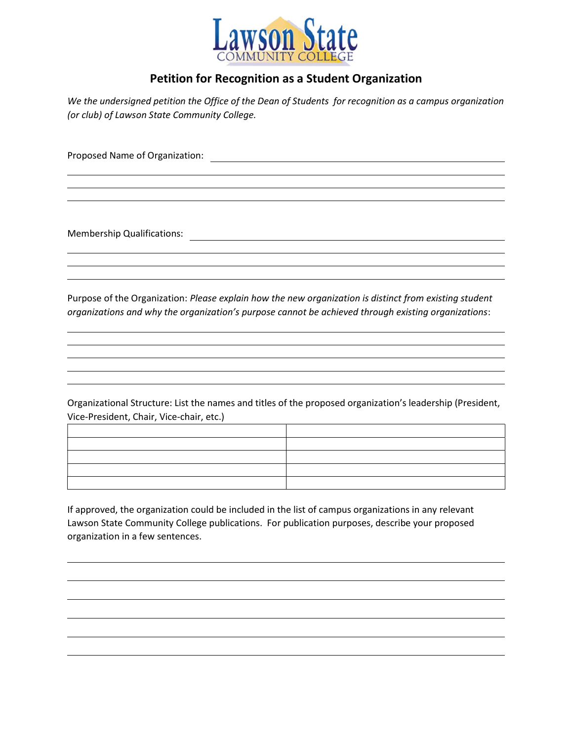

## Petition for Recognition as a Student Organization

We the undersigned petition the Office of the Dean of Students for recognition as a campus organization (or club) of Lawson State Community College.

Proposed Name of Organization:

Membership Qualifications:

Purpose of the Organization: Please explain how the new organization is distinct from existing student organizations and why the organization's purpose cannot be achieved through existing organizations:

Organizational Structure: List the names and titles of the proposed organization's leadership (President, Vice-President, Chair, Vice-chair, etc.)

If approved, the organization could be included in the list of campus organizations in any relevant Lawson State Community College publications. For publication purposes, describe your proposed organization in a few sentences.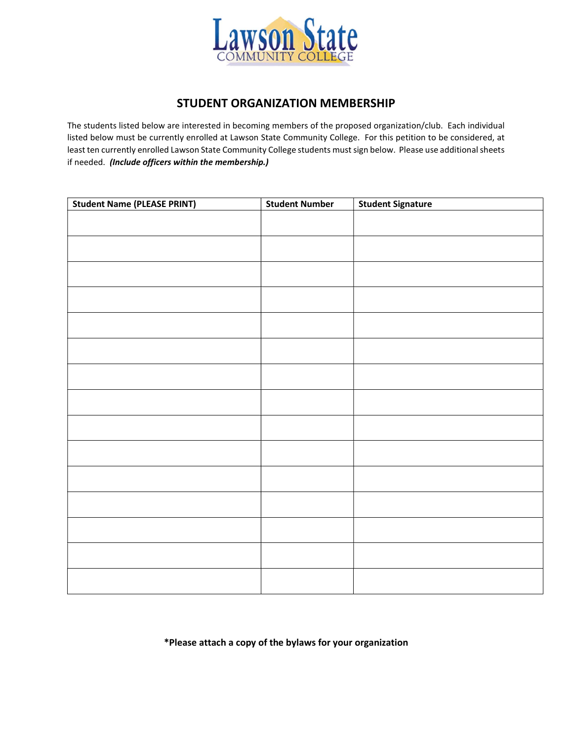

## STUDENT ORGANIZATION MEMBERSHIP

The students listed below are interested in becoming members of the proposed organization/club. Each individual listed below must be currently enrolled at Lawson State Community College. For this petition to be considered, at least ten currently enrolled Lawson State Community College students must sign below. Please use additional sheets if needed. (Include officers within the membership.)

| <b>Student Name (PLEASE PRINT)</b> | <b>Student Number</b> | <b>Student Signature</b> |
|------------------------------------|-----------------------|--------------------------|
|                                    |                       |                          |
|                                    |                       |                          |
|                                    |                       |                          |
|                                    |                       |                          |
|                                    |                       |                          |
|                                    |                       |                          |
|                                    |                       |                          |
|                                    |                       |                          |
|                                    |                       |                          |
|                                    |                       |                          |
|                                    |                       |                          |
|                                    |                       |                          |
|                                    |                       |                          |
|                                    |                       |                          |
|                                    |                       |                          |
|                                    |                       |                          |
|                                    |                       |                          |
|                                    |                       |                          |
|                                    |                       |                          |
|                                    |                       |                          |
|                                    |                       |                          |
|                                    |                       |                          |
|                                    |                       |                          |

\*Please attach a copy of the bylaws for your organization